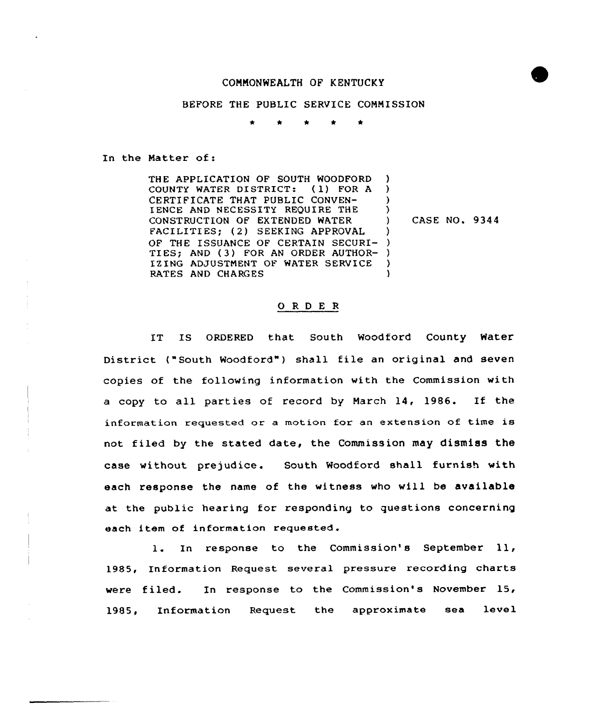## COMMONWEALTH OF KENTUCKY

## BEFORE THE PUBLIC SERVICE COMMISSION

In the Matter of:

THE APPLICATION OF SOUTH WOODFORD COUNTY WATER DISTRICT: ( 1) FOR <sup>A</sup> CERTIFICATE THAT PUBLIC CONVEN-IENCE AND NECESSITY REQUIRE THE CONSTRUCTION OF EXTENDED WATER FACILITIES; (2) SEEKING APPROVAL OF THE ISSUANCE OF CERTAIN SECURI-) TIES; AND (3) FOR AN ORDER AUTHOR-IZING ADJUSTMENT OF WATER SERVICE BATES AND CHARGES ) ) )  $\left\{ \right.$ ) ) )

) CASE NO. 9344

## 0 <sup>R</sup> <sup>D</sup> <sup>E</sup> <sup>R</sup>

IT IS ORDERED that South Woodford County Water District ("South Woodford") shall file an original and seven copies of the following information with the Commission with <sup>a</sup> copy to all parties of record by March 14, 1986. If the information requested or a motion for an extension of time is not filed by the stated date, the Commission may dismiss the case without prejudice. South Woodford shall furnish with each response the name of the witness who will be available at the public hearing for responding to questions concerning each item of information requested.

l. In response to the Commission's September ll, 1985, Information Request several pressure recording charts were filed. In response to the Commission's November 15, 1985, Information Request the approximate sea level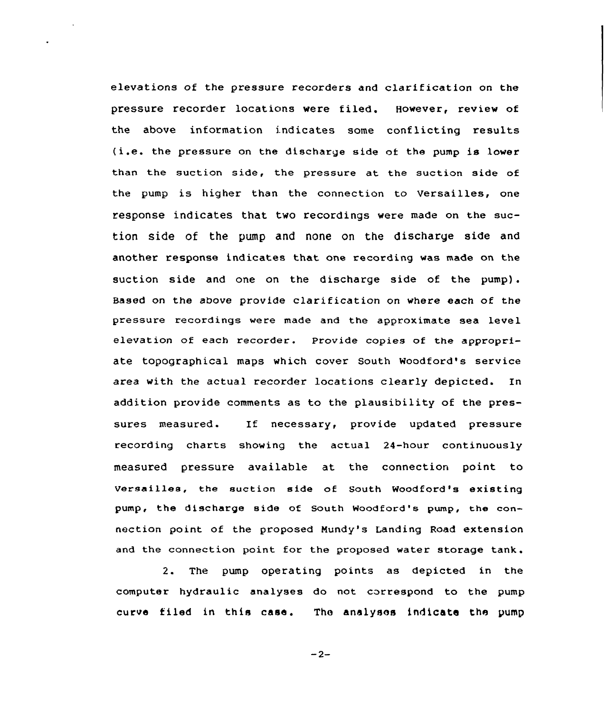elevations of the pressure recorders and clarification on the pressure recorder locations were filed. However, review of the above informaticn indicates some conflicting results  $(i.e.$  the pressure on the discharge side of the pump is lower than the suction side, the pressure at the suction side of the pump is higher than the connection to Versailles, one response indicates that two recordings were made on the suction side of the pump and none on the discharge side and another response indicates that one recording was made on the suction side and one on the discharge side of the pump). Based on the above provide clarification on where each of the pressure recordings were made and the approximate sea level elevation of each recorder. Provide copies of the appropriate topographical maps which cover South Woodford's service area with the actual recorder locations clearly depicted. In addition provide comments as to the plausibility of the pressures measured. If necessary, provide updated pressure recording charts showing the actual 24-hour continuously measured pressure available at the connection point to versailles, the suction side of South Woodford's existing pump, the discharge side of South Woodford's pump, the connection point of the proposed Mundy's Landing Road extension and the connection point for the proposed water storage tank.

2. The pump operating points as depicted in the computer hydraulic analyses do not correspond to the pump curve filed in this case. The analyses indicate the pump

 $-2-$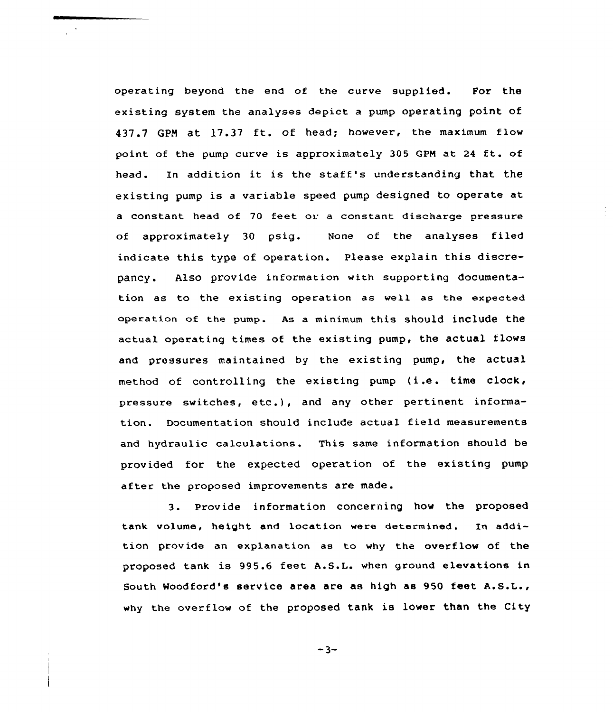operating beyond the end of the curve supplied. For the existing system the analyses depict a pump operating point of 437.7 GPM at 17.37 ft. of head; however, the maximum flow point of the pump curve is approximately <sup>305</sup> GPM at <sup>24</sup> ft. of head. In addition it is the staff's understanding that the existing pump is <sup>a</sup> variable speed pump designed to operate at a constant head of 70 feet or a constant discharge pressure of approximately 30 psig. None of the analyses filed indicate this type of operation. Please explain this discrepancy. Also provide information with supporting documentation as to the existing operation as well as the expected operation of the pump. As a minimum this should include the actual operating times of the existing pump, the actual flows and pressures maintained by the existing pump, the actual method of controlling the existing pump (i.e. time clock, pressure switches, etc.), and any other pertinent information. Documentation should include actual field measurements and hydraulic calculations. This same information should be provided for the expected operation of the existing pump after the proposed improvements are made.

 $\sim$ 

3. Provide information concerning how the proposed tank volume, height and location were determined. In addition provide an explanation as to why the overflow of the proposed tank is 995.6 feet A.S.L. when ground elevations in South Woodford's service area are as high as 950 feet A.S.L., why the overflow of the proposed tank is lower than the City

 $-3-$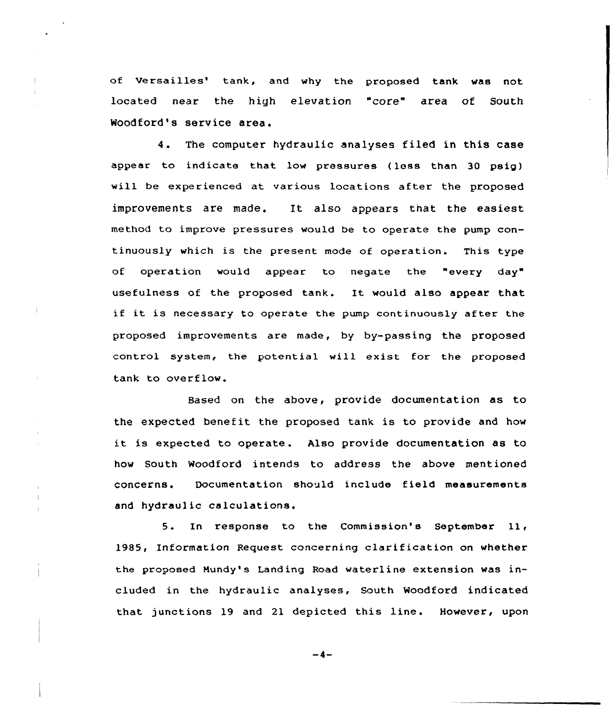of Versailles' tank, and why the proposed tank was not located near the high elevation "core" area of South Woodford's service area.

4. The computer hydraulic analyses filed in this case appear to indicate that low pressures (less than 30 psig) will be experienced at various locations after the proposed improvements are made. It also appears that the easiest method to improve pressures would be to operate the pump continuously which is the present mode of operation. This type of operation would appear to negate the "every day" usefulness of the proposed tank. It would also appear that if it is necessary to operate the pump continuously after the proposed improvements are made, by by-passing the proposed control system, the potential will exist for the proposed tank to overflow.

Based on the above, provide documentation as to the expected benefit the proposed tank is to provide and how it is expected to operate. Also provide documentation as to how South Woodford intends to address the above mentioned concerns. Documentation should include f ield measurements and hydraulic calculations.

5. In response to the Commission's September ll, 1985, Information Request concerning clarification on whether the proposed Mundy's Landing Road waterline extension was included in the hydraulic analyses, South Woodford indicated that junctions 19 and 21 depicted this line. However, upon

-4-